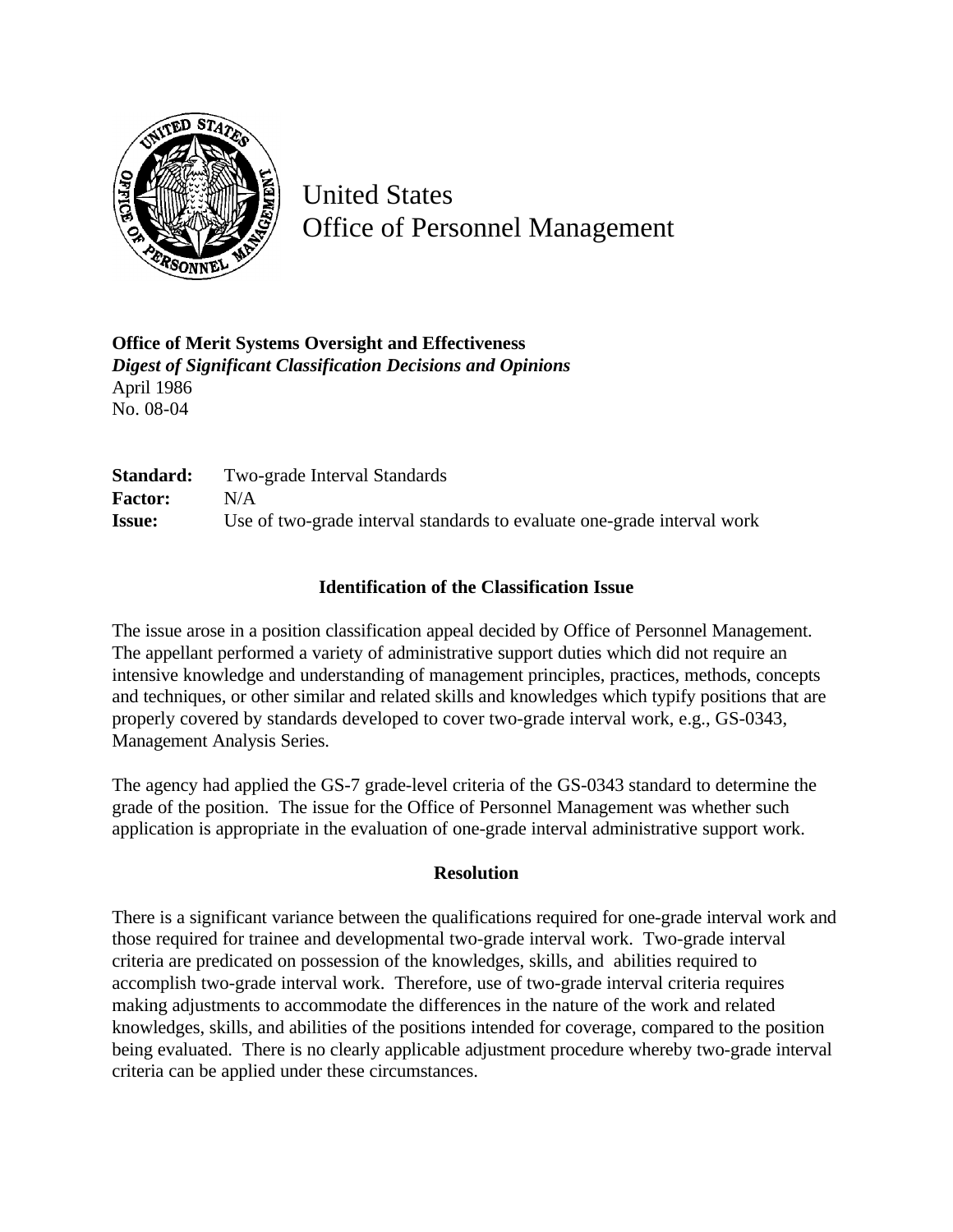

United States Office of Personnel Management

**Office of Merit Systems Oversight and Effectiveness** *Digest of Significant Classification Decisions and Opinions* April 1986 No. 08-04

**Standard:** Two-grade Interval Standards **Factor:** N/A **Issue:** Use of two-grade interval standards to evaluate one-grade interval work

## **Identification of the Classification Issue**

The issue arose in a position classification appeal decided by Office of Personnel Management. The appellant performed a variety of administrative support duties which did not require an intensive knowledge and understanding of management principles, practices, methods, concepts and techniques, or other similar and related skills and knowledges which typify positions that are properly covered by standards developed to cover two-grade interval work, e.g., GS-0343, Management Analysis Series.

The agency had applied the GS-7 grade-level criteria of the GS-0343 standard to determine the grade of the position. The issue for the Office of Personnel Management was whether such application is appropriate in the evaluation of one-grade interval administrative support work.

## **Resolution**

There is a significant variance between the qualifications required for one-grade interval work and those required for trainee and developmental two-grade interval work. Two-grade interval criteria are predicated on possession of the knowledges, skills, and abilities required to accomplish two-grade interval work. Therefore, use of two-grade interval criteria requires making adjustments to accommodate the differences in the nature of the work and related knowledges, skills, and abilities of the positions intended for coverage, compared to the position being evaluated. There is no clearly applicable adjustment procedure whereby two-grade interval criteria can be applied under these circumstances.